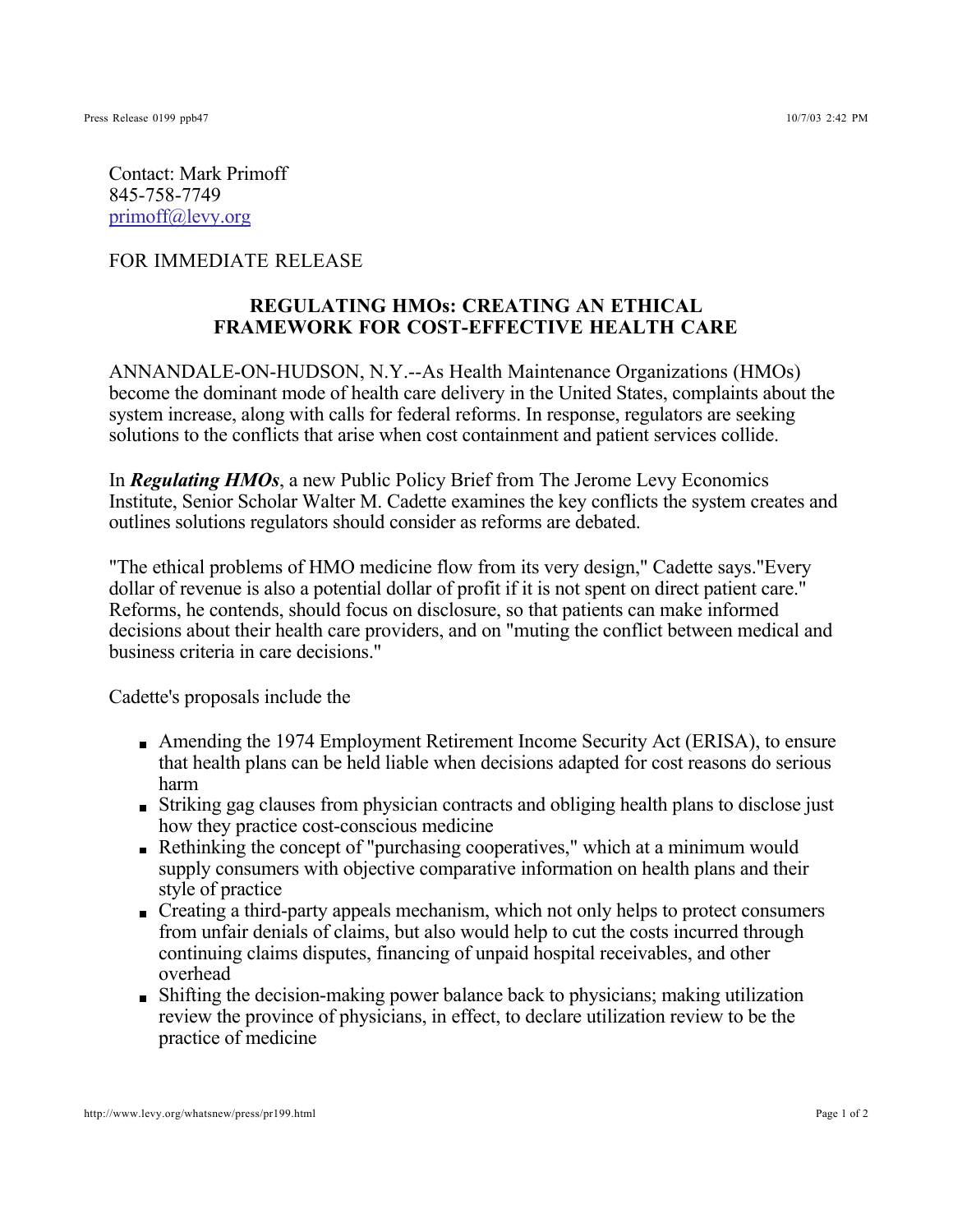Contact: Mark Primoff 845-758-7749 primoff@levy.org

## FOR IMMEDIATE RELEASE

## **REGULATING HMOs: CREATING AN ETHICAL FRAMEWORK FOR COST-EFFECTIVE HEALTH CARE**

ANNANDALE-ON-HUDSON, N.Y.--As Health Maintenance Organizations (HMOs) become the dominant mode of health care delivery in the United States, complaints about the system increase, along with calls for federal reforms. In response, regulators are seeking solutions to the conflicts that arise when cost containment and patient services collide.

In *Regulating HMOs*, a new Public Policy Brief from The Jerome Levy Economics Institute, Senior Scholar Walter M. Cadette examines the key conflicts the system creates and outlines solutions regulators should consider as reforms are debated.

"The ethical problems of HMO medicine flow from its very design," Cadette says."Every dollar of revenue is also a potential dollar of profit if it is not spent on direct patient care." Reforms, he contends, should focus on disclosure, so that patients can make informed decisions about their health care providers, and on "muting the conflict between medical and business criteria in care decisions."

Cadette's proposals include the

- Amending the 1974 Employment Retirement Income Security Act (ERISA), to ensure that health plans can be held liable when decisions adapted for cost reasons do serious harm
- Striking gag clauses from physician contracts and obliging health plans to disclose just how they practice cost-conscious medicine
- Rethinking the concept of "purchasing cooperatives," which at a minimum would supply consumers with objective comparative information on health plans and their style of practice
- Creating a third-party appeals mechanism, which not only helps to protect consumers from unfair denials of claims, but also would help to cut the costs incurred through continuing claims disputes, financing of unpaid hospital receivables, and other overhead
- **Shifting the decision-making power balance back to physicians; making utilization** review the province of physicians, in effect, to declare utilization review to be the practice of medicine